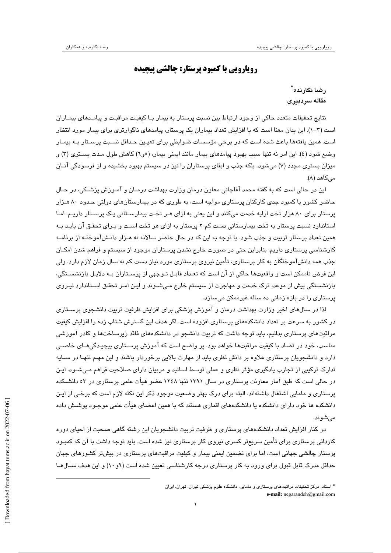## **رويارويي با كمبود پرستار: چالشي پيچيده**

 **\* رضا نگارنده** <sup>∗</sup> **مقاله سردبيري**

نتايج تحقيقات متعدد حاكي از وجود ارتباط بين نسبت پرستار به بيمار بـا كيفيـت مراقبـت و پيامـدهاي بيمـاران است (1-3). اين بدان معنا است كه با افزايش تعداد بيماران يك پرستار، پيامدهاي ناگوارتري براي بيمار مورد انتظار است. همين يافتهها باعث شده است كه در برخي مؤسسات ضوابطي براي تعيـين حـداقل نسـبت پرسـتار بـه بيمـار وضع شود (4). اين امر نه تنها سبب بهبود پيامدهاي بيمار مانند ايمني بيمار، (5و6) كاهش طول مـدت بسـتري (3) و ميزان بستري مجدد (7) ميشود، بلكه جذب و ابقاي پرستاران را نيز در سيستم بهبود بخشيده و از فرسودگي آنـان مي كاهد (٨).

اين در حالي است كه به گفته محمد آقاجاني معاون درمان وزارت بهداشت درمـان و آمـوزش پزشـكي، در حـال حاضر كشور با كمبود جدي كاركنان پرستاري مواجه است، به طوري كه در بيمارستانهاي دولتي حـدود 80 هـزار پرستار براي ۸۰ هزار تخت ارايه خدمت ميكنند و اين يعني به ازاي هـر تخـت بيمارسـتاني يـك پرسـتار داريـم. امـا استاندارد نسبت پرستار به تخت بيمارستاني دست كم 2 پرستار به ازاي هر تخت اسـت و بـراي تحقـق آن بايـد بـه همين تعداد پرستار تربيت و جذب شود. با توجه به اين كه در حال حاضر سالانه نه هـزار دانـشآموختـه از برنامـه كارشناسي پرستاري داريم. بنابراين حتي در صورت خارج نشدن پرستاران موجود از سيستم و فراهم شدن امكـان جذب همه دانشآموختگان به كار پرستاري، تأمين نيروي پرستاري مورد نياز دست كم نه سال زمان لازم دارد. ولي اين فرض ناممكن است و واقعيتها حاكي از آن است كه تعـداد قابـل تـوجهي از پرسـتاران بـه دلايـل بازنشسـتگي، بازنشستگي پيش از موعد، ترك خدمت و مهاجرت از سيستم خارج مـيشـوند و ايـن امـر تحقـق اسـتاندارد نيـروي پرستاري را در بازه زماني ده ساله غيرممكن ميسازد.

لذا در سالهاي اخير وزارت بهداشت درمان و آموزش پزشكي براي افزايش ظرفيت تربيت دانشجوي پرسـتاري در كشور به سرعت بر تعداد دانشكدههاي پرستاري افزوده است. اگر هدف اين گسترش شتاب زده را افزايش كيفيت مراقبتهاي پرستاري بدانيم، بايد توجه داشت كه تربيت دانشجو در دانشكدههاي فاقد زيرساختها و كادر آموزشي مناسب، خود در تضاد با كيفيت مراقبتها خواهد بود. پر واضح است كه آموزش پرسـتاري پيچيـدگيهـاي خاصـي دارد و دانشجويان پرستاري علاوه بر دانش نظري بايد از مهارت بالايي برخوردار باشند و اين مهـم تنهـا در سـايه تدارك تركيبي از تجارب يادگيري مؤثر نظري و عملي توسط اساتيد و مربيان داراي صلاحيت فراهم مـيشـود. ايـن در حالي است كه طبق آمار معاونت پرستاري در سال 1391 تنها 1248 عضو هيأت علمي پرستاري در 53 دانشـكده پرستاري و مامايي اشتغال داشتهاند. البته براي درك بهتر وضعيت موجود ذكر اين نكته لازم است كه برخـي از ايـن دانشكده ها خود داراي دانشكده يا دانشكدههاي اقماري هستند كه با همين اعضاي هيأت علمي موجـود پوشـش داده ميشوند.

در كنار افزايش تعداد دانشكدههاي پرستاري و ظرفيت تربيت دانشجويان اين رشته گاهي صحبت از احياي دوره كارداني پرستاري براي تأمين سريعتر كسري نيروي كار پرستاري نيز شده است. بايد توجه داشت با آن كه كمبـود پرستار چالشي جهاني است، اما براي تضمين ايمني بيمار و كيفيت مراقبتهاي پرستاري در بيشتر كشورهاي جهان حداقل مدرك قابل قبول براي ورود به كار پرستاري درجه كارشناسي تعيين شده است (9و10) و اين هدف سـالهـا

<sup>\*</sup> استاد، مركز تحقيقات مراقبتهاي پرستاري و مامايي، دانشگاه علوم پزشكي تهران، تهران، ايران **e-mail:** negarandeh@gmail.com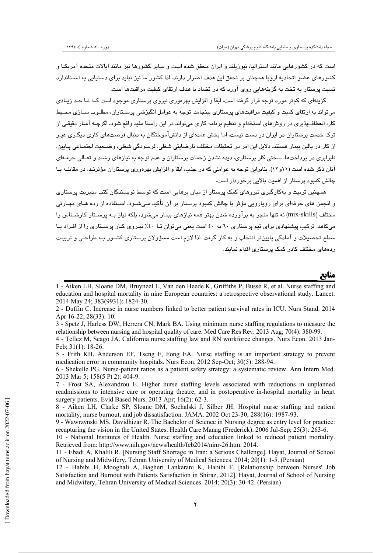است كه در كشورهايي مانند استراليا، نيوزيلند و ايران محقق شده است و ساير كشورها نيز مانند ايالات متحده آمريكـا و كشورهاي عضو اتحاديه اروپا همچنان بر تحقق اين هدف اصرار دارند. لذا كشور ما نيز نبايد براي دستيابي به اسـتاندارد نسبت پرستار به تخت به گزينههايي روي آورد كه در تضاد با هدف ارتقاي كيفيت مراقبتها است.

گزينهاي كه كمتر مورد توجه قرار گرفته است، ابقا و افزايش بهرهوري نيروي پرستاري موجود است كـه تـا حـد زيـادي ميتواند به ارتقاي كميت و كيفيت مراقبتهاي پرستاري بينجامد. توجه به عوامل انگيزشي پرسـتاران، مطلـوب سـازي محـيط كار، انعطافپذيري در روشهاي استخدام و تنظيم برنامه كاري ميتواند در اين راستا مفيد واقع شود. اگرچـه آمـار دقيقـي از ترك خدمت پرستاران در ايران در دست نيست، اما بخش عمدهاي از دانشآموختگان به دنبال فرصتهاي كاري ديگـري غيـر از كار در بالين بيمار هستند. دلايل اين امر در تحقيقات مختلف نارضايتي شغلي، فرسودگي شغلي، وضـعيت اجتمـاعي پـايين، نابرابري در پرداختها، سختي كار پرستاري، ديده نشدن زحمات پرستاران و عدم توجه به نيازهاي رشـد و تعـالي حرفـهاي آنان ذكر شده است (11و12). بنابراين توجه به عواملي كه در جذب، ابقا و افزايش بهرهوري پرستاران مؤثرنـد، در مقابلـه بـا چالش كمبود پرستار از اهميت بالايي برخوردار است.

همچنين تربيت و بهكارگيري نيروهاي كمك پرستار از ميان برهايي است كه توسط نويسندگان كتب مديريت پرستاري و انجمن هاي حرفهاي براي رويارويي مؤثر با چالش كمبود پرستار بر آن تأكيد مـيشـود. اسـتفاده از رده هـاي مهـارتي مختلف (skills-mix (نه تنها منجر به برآورده شدن بهتر همه نيازهاي بيمار ميشود، بلكه نياز بـه پرسـتار كارشـناس را ميكاهد. تركيب پيشنهادي براي تيم پرستاري 60 به 40 است يعني ميتوان تـا %40 نيـروي كـار پرسـتاري را از افـراد بـا سطح تحصيلات و آمادگي پايينتر انتخاب و به كار گرفت. لذا لازم است مسؤولان پرستاري كشـور بـه طراحـي و تربيـت ردههاي مختلف كادر كمك پرستاري اقدام نمايند.

**منابع \_\_\_\_\_\_\_\_\_\_\_\_\_\_\_\_\_\_\_\_\_\_\_\_\_\_\_\_\_\_\_\_\_\_\_\_\_\_\_\_\_\_\_\_\_\_\_\_\_\_\_\_\_\_\_\_\_\_\_**

<sup>1 -</sup> Aiken LH, Sloane DM, Bruyneel L, Van den Heede K, Griffiths P, Busse R, et al. Nurse staffing and education and hospital mortality in nine European countries: a retrospective observational study. Lancet. 2014 May 24; 383(9931): 1824-30.

<sup>2 -</sup> Duffin C. Increase in nurse numbers linked to better patient survival rates in ICU. Nurs Stand. 2014 Apr 16-22; 28(33): 10.

<sup>3 -</sup> Spetz J, Harless DW, Herrera CN, Mark BA. Using minimum nurse staffing regulations to measure the relationship between nursing and hospital quality of care. Med Care Res Rev. 2013 Aug; 70(4): 380-99.

<sup>4 -</sup> Tellez M, Seago JA. California nurse staffing law and RN workforce changes. Nurs Econ. 2013 Jan-Feb; 31(1): 18-26.

<sup>5 -</sup> Frith KH, Anderson EF, Tseng F, Fong EA. Nurse staffing is an important strategy to prevent medication error in community hospitals. Nurs Econ. 2012 Sep-Oct; 30(5): 288-94.

<sup>6 -</sup> Shekelle PG. Nurse-patient ratios as a patient safety strategy: a systematic review. Ann Intern Med. 2013 Mar 5; 158(5 Pt 2): 404-9.

<sup>7 -</sup> Frost SA, Alexandrou E. Higher nurse staffing levels associated with reductions in unplanned readmissions to intensive care or operating theatre, and in postoperative in-hospital mortality in heart surgery patients. Evid Based Nurs. 2013 Apr; 16(2): 62-3.

<sup>8 -</sup> Aiken LH, Clarke SP, Sloane DM, Sochalski J, Silber JH. Hospital nurse staffing and patient mortality, nurse burnout, and job dissatisfaction. JAMA. 2002 Oct 23-30; 288(16): 1987-93.

<sup>9 -</sup> Wawrzynski MS, Davidhizar R. The Bachelor of Science in Nursing degree as entry level for practice: recapturing the vision in the United States. Health Care Manag (Frederick). 2006 Jul-Sep; 25(3): 263-6.

<sup>10 -</sup> National Institutes of Health. Nurse staffing and education linked to reduced patient mortality. Retrieved from: http://www.nih.gov/news/health/feb2014/ninr-26.htm. 2014.

<sup>11 -</sup> Ebadi A, Khalili R. [Nursing Staff Shortage in Iran: a Serious Challenge]. Hayat, Journal of School of Nursing and Midwifery, Tehran University of Medical Sciences. 2014; 20(1): 1-5. (Persian)

<sup>12 -</sup> Habibi H, Mooghali A, Bagheri Lankarani K, Habibi F. [Relationship between Nurses' Job Satisfaction and Burnout with Patients Satisfaction in Shiraz, 2012]. Hayat, Journal of School of Nursing and Midwifery, Tehran University of Medical Sciences. 2014; 20(3): 30-42. (Persian)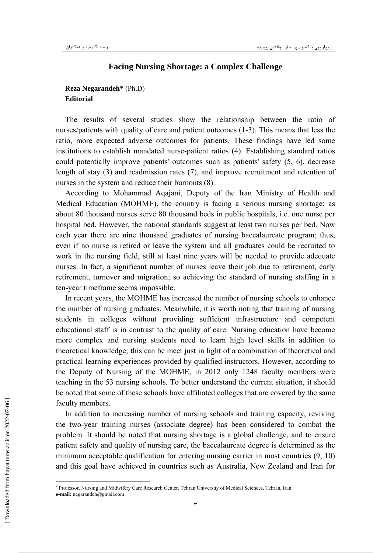## **Facing Nursing Shortage: a Complex Challenge**

## **Reza Negarandeh\*** (Ph.D)<sup>∗</sup> **Editorial**

The results of several studies show the relationship between the ratio of nurses/patients with quality of care and patient outcomes (1-3). This means that less the ratio, more expected adverse outcomes for patients. These findings have led some institutions to establish mandated nurse-patient ratios (4). Establishing standard ratios could potentially improve patients' outcomes such as patients' safety (5, 6), decrease length of stay (3) and readmission rates (7), and improve recruitment and retention of nurses in the system and reduce their burnouts (8).

According to Mohammad Aqajani, Deputy of the Iran Ministry of Health and Medical Education (MOHME), the country is facing a serious nursing shortage; as about 80 thousand nurses serve 80 thousand beds in public hospitals, i.e. one nurse per hospital bed. However, the national standards suggest at least two nurses per bed. Now each year there are nine thousand graduates of nursing baccalaureate program; thus, even if no nurse is retired or leave the system and all graduates could be recruited to work in the nursing field, still at least nine years will be needed to provide adequate nurses. In fact, a significant number of nurses leave their job due to retirement, early retirement, turnover and migration; so achieving the standard of nursing staffing in a ten-year timeframe seems impossible.

In recent years, the MOHME has increased the number of nursing schools to enhance the number of nursing graduates. Meanwhile, it is worth noting that training of nursing students in colleges without providing sufficient infrastructure and competent educational staff is in contrast to the quality of care. Nursing education have become more complex and nursing students need to learn high level skills in addition to theoretical knowledge; this can be meet just in light of a combination of theoretical and practical learning experiences provided by qualified instructors. However, according to the Deputy of Nursing of the MOHME, in 2012 only 1248 faculty members were teaching in the 53 nursing schools. To better understand the current situation, it should be noted that some of these schools have affiliated colleges that are covered by the same faculty members.

In addition to increasing number of nursing schools and training capacity, reviving the two-year training nurses (associate degree) has been considered to combat the problem. It should be noted that nursing shortage is a global challenge, and to ensure patient safety and quality of nursing care, the baccalaureate degree is determined as the minimum acceptable qualification for entering nursing carrier in most countries (9, 10) and this goal have achieved in countries such as Australia, New Zealand and Iran for

٣

<sup>∗</sup> Professor, Nursing and Midwifery Care Research Center, Tehran University of Medical Sciences, Tehran, Iran **e-mail:** negarandeh@gmail.com